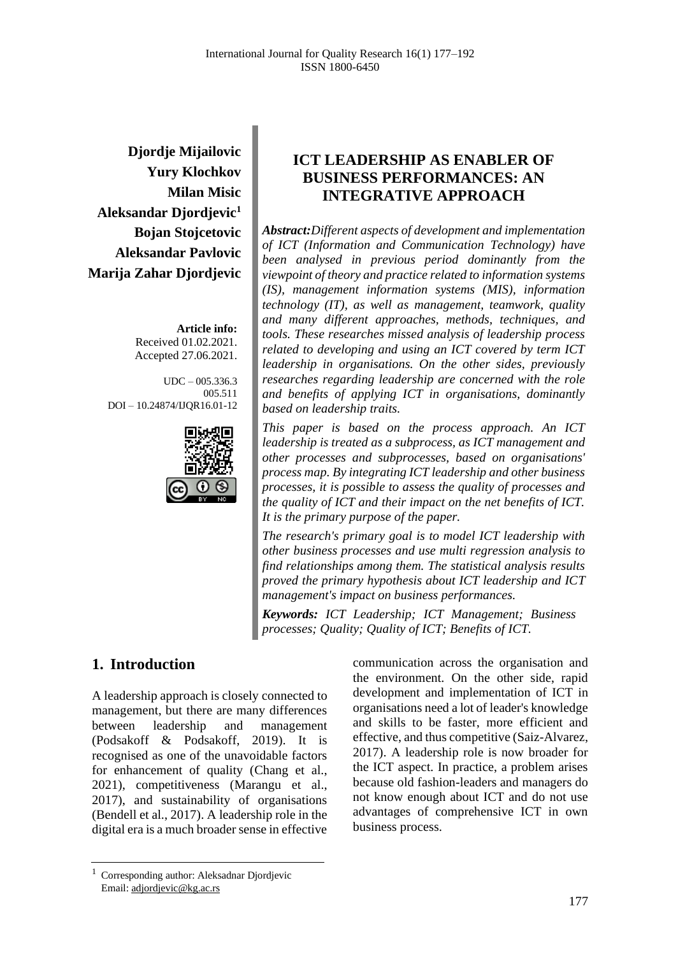**Djordje Mijailovic Yury Klochkov Milan Misic Aleksandar Djordjevic 1 Bojan Stojcetovic Aleksandar Pavlovic Marija Zahar Djordjevic**

> **Article info:** Received 01.02.2021. Accepted 27.06.2021.

 $UDC = 005.336.3$ 005.511 DOI – 10.24874/IJQR16.01-12



# **ICT LEADERSHIP AS ENABLER OF BUSINESS PERFORMANCES: AN INTEGRATIVE APPROACH**

*Abstract:Different aspects of development and implementation of ICT (Information and Communication Technology) have been analysed in previous period dominantly from the viewpoint of theory and practice related to information systems (IS), management information systems (MIS), information technology (IT), as well as management, teamwork, quality and many different approaches, methods, techniques, and tools. These researches missed analysis of leadership process related to developing and using an ICT covered by term ICT leadership in organisations. On the other sides, previously researches regarding leadership are concerned with the role and benefits of applying ICT in organisations, dominantly based on leadership traits.*

*This paper is based on the process approach. An ICT leadership is treated as a subprocess, as ICT management and other processes and subprocesses, based on organisations' process map. By integrating ICT leadership and other business processes, it is possible to assess the quality of processes and the quality of ICT and their impact on the net benefits of ICT. It is the primary purpose of the paper.*

*The research's primary goal is to model ICT leadership with other business processes and use multi regression analysis to find relationships among them. The statistical analysis results proved the primary hypothesis about ICT leadership and ICT management's impact on business performances.*

*Keywords: ICT Leadership; ICT Management; Business processes; Quality; Quality of ICT; Benefits of ICT.*

# **1. Introduction**

A leadership approach is closely connected to management, but there are many differences between leadership and management (Podsakoff & Podsakoff, 2019). It is recognised as one of the unavoidable factors for enhancement of quality (Chang et al., 2021), competitiveness (Marangu et al., 2017), and sustainability of organisations (Bendell et al., 2017). A leadership role in the digital era is a much broader sense in effective communication across the organisation and the environment. On the other side, rapid development and implementation of ICT in organisations need a lot of leader's knowledge and skills to be faster, more efficient and effective, and thus competitive (Saiz-Alvarez, 2017). A leadership role is now broader for the ICT aspect. In practice, a problem arises because old fashion-leaders and managers do not know enough about ICT and do not use advantages of comprehensive ICT in own business process.

<sup>1</sup> Corresponding author: Aleksadnar Djordjevic Email: adjordjevic@kg.ac.rs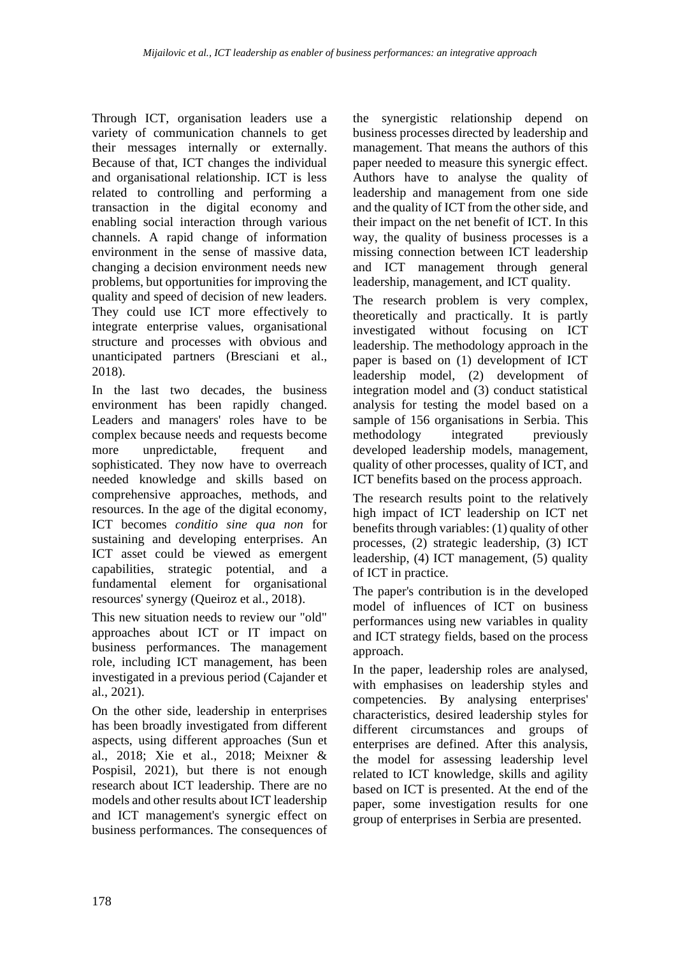Through ICT, organisation leaders use a variety of communication channels to get their messages internally or externally. Because of that, ICT changes the individual and organisational relationship. ICT is less related to controlling and performing a transaction in the digital economy and enabling social interaction through various channels. A rapid change of information environment in the sense of massive data, changing a decision environment needs new problems, but opportunities for improving the quality and speed of decision of new leaders. They could use ICT more effectively to integrate enterprise values, organisational structure and processes with obvious and unanticipated partners (Bresciani et al., 2018).

In the last two decades, the business environment has been rapidly changed. Leaders and managers' roles have to be complex because needs and requests become more unpredictable, frequent and sophisticated. They now have to overreach needed knowledge and skills based on comprehensive approaches, methods, and resources. In the age of the digital economy, ICT becomes *conditio sine qua non* for sustaining and developing enterprises. An ICT asset could be viewed as emergent capabilities, strategic potential, and a fundamental element for organisational resources' synergy (Queiroz et al., 2018).

This new situation needs to review our "old" approaches about ICT or IT impact on business performances. The management role, including ICT management, has been investigated in a previous period (Cajander et al., 2021).

On the other side, leadership in enterprises has been broadly investigated from different aspects, using different approaches (Sun et al., 2018; Xie et al., 2018; Meixner & Pospisil, 2021), but there is not enough research about ICT leadership. There are no models and other results about ICT leadership and ICT management's synergic effect on business performances. The consequences of

the synergistic relationship depend on business processes directed by leadership and management. That means the authors of this paper needed to measure this synergic effect. Authors have to analyse the quality of leadership and management from one side and the quality of ICT from the other side, and their impact on the net benefit of ICT. In this way, the quality of business processes is a missing connection between ICT leadership and ICT management through general leadership, management, and ICT quality.

The research problem is very complex, theoretically and practically. It is partly investigated without focusing on ICT leadership. The methodology approach in the paper is based on (1) development of ICT leadership model, (2) development of integration model and (3) conduct statistical analysis for testing the model based on a sample of 156 organisations in Serbia. This methodology integrated previously developed leadership models, management, quality of other processes, quality of ICT, and ICT benefits based on the process approach.

The research results point to the relatively high impact of ICT leadership on ICT net benefits through variables: (1) quality of other processes, (2) strategic leadership, (3) ICT leadership, (4) ICT management, (5) quality of ICT in practice.

The paper's contribution is in the developed model of influences of ICT on business performances using new variables in quality and ICT strategy fields, based on the process approach.

In the paper, leadership roles are analysed, with emphasises on leadership styles and competencies. By analysing enterprises' characteristics, desired leadership styles for different circumstances and groups of enterprises are defined. After this analysis, the model for assessing leadership level related to ICT knowledge, skills and agility based on ICT is presented. At the end of the paper, some investigation results for one group of enterprises in Serbia are presented.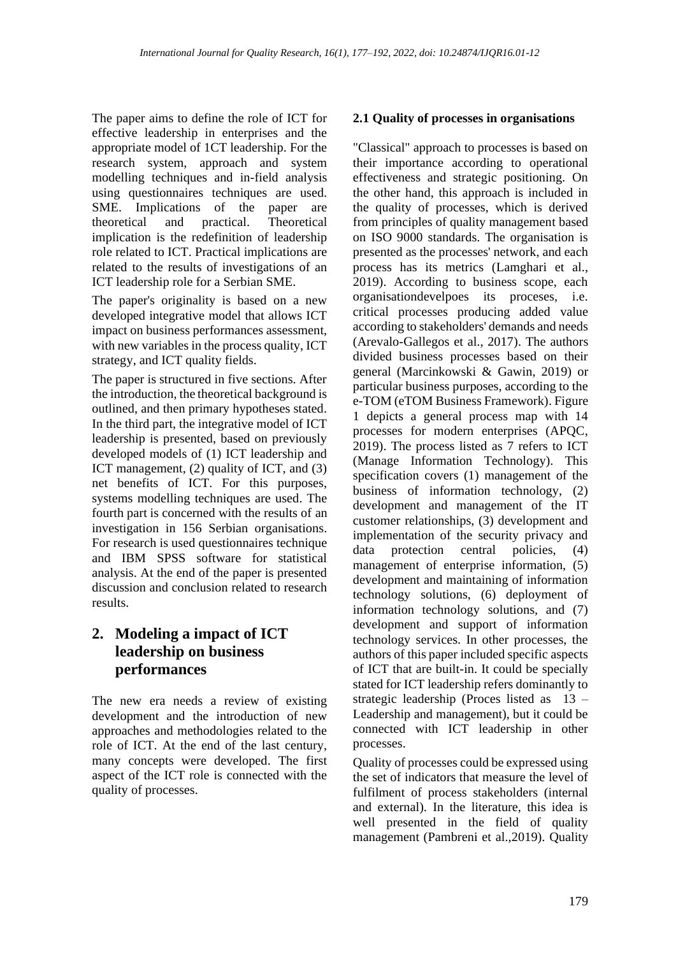The paper aims to define the role of ICT for effective leadership in enterprises and the appropriate model of 1CT leadership. For the research system, approach and system modelling techniques and in-field analysis using questionnaires techniques are used. SME. Implications of the paper are theoretical and practical. Theoretical implication is the redefinition of leadership role related to ICT. Practical implications are related to the results of investigations of an ICT leadership role for a Serbian SME.

The paper's originality is based on a new developed integrative model that allows ICT impact on business performances assessment, with new variables in the process quality, ICT strategy, and ICT quality fields.

The paper is structured in five sections. After the introduction, the theoretical background is outlined, and then primary hypotheses stated. In the third part, the integrative model of ICT leadership is presented, based on previously developed models of (1) ICT leadership and ICT management, (2) quality of ICT, and (3) net benefits of ICT. For this purposes, systems modelling techniques are used. The fourth part is concerned with the results of an investigation in 156 Serbian organisations. For research is used questionnaires technique and IBM SPSS software for statistical analysis. At the end of the paper is presented discussion and conclusion related to research results.

# **2. Modeling a impact of ICT leadership on business performances**

The new era needs a review of existing development and the introduction of new approaches and methodologies related to the role of ICT. At the end of the last century, many concepts were developed. The first aspect of the ICT role is connected with the quality of processes.

#### **2.1 Quality of processes in organisations**

"Classical" approach to processes is based on their importance according to operational effectiveness and strategic positioning. On the other hand, this approach is included in the quality of processes, which is derived from principles of quality management based on ISO 9000 standards. The organisation is presented as the processes' network, and each process has its metrics (Lamghari et al., 2019). According to business scope, each organisationdevelpoes its proceses, i.e. critical processes producing added value according to stakeholders' demands and needs (Arevalo-Gallegos et al., 2017). The authors divided business processes based on their general (Marcinkowski & Gawin, 2019) or particular business purposes, according to the e-TOM (eTOM Business Framework). Figure 1 depicts a general process map with 14 processes for modern enterprises (APQC, 2019). The process listed as 7 refers to ICT (Manage Information Technology). This specification covers (1) management of the business of information technology, (2) development and management of the IT customer relationships, (3) development and implementation of the security privacy and data protection central policies, (4) management of enterprise information, (5) development and maintaining of information technology solutions, (6) deployment of information technology solutions, and (7) development and support of information technology services. In other processes, the authors of this paper included specific aspects of ICT that are built-in. It could be specially stated for ICT leadership refers dominantly to strategic leadership (Proces listed as 13 – Leadership and management), but it could be connected with ICT leadership in other processes.

Quality of processes could be expressed using the set of indicators that measure the level of fulfilment of process stakeholders (internal and external). In the literature, this idea is well presented in the field of quality management (Pambreni et al.,2019). Quality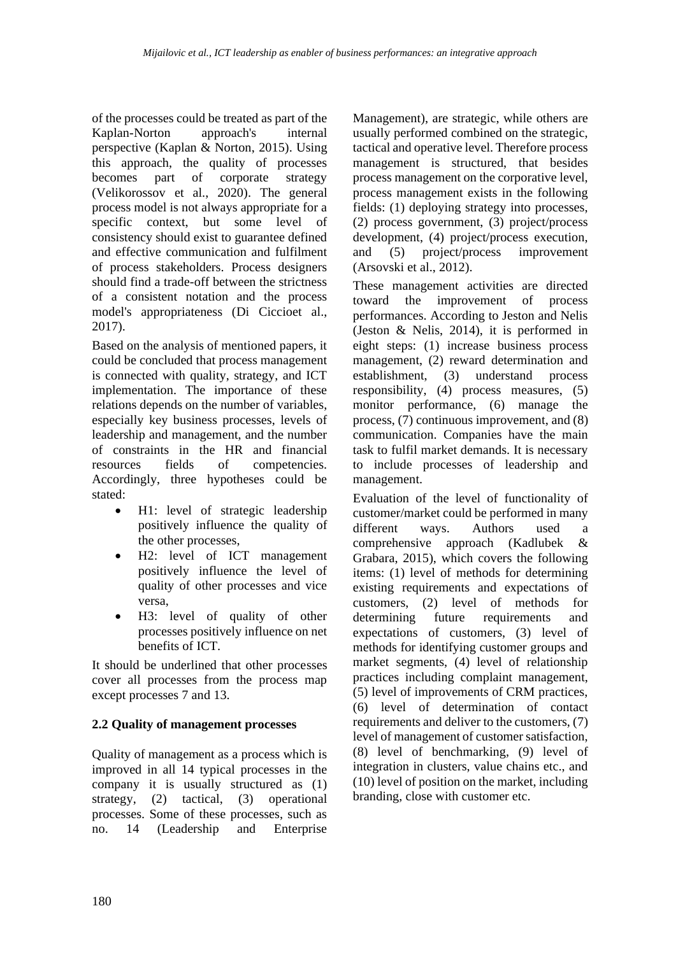of the processes could be treated as part of the Kaplan-Norton approach's internal perspective (Kaplan & Norton, 2015). Using this approach, the quality of processes becomes part of corporate strategy (Velikorossov et al., 2020). The general process model is not always appropriate for a specific context, but some level of consistency should exist to guarantee defined and effective communication and fulfilment of process stakeholders. Process designers should find a trade-off between the strictness of a consistent notation and the process model's appropriateness (Di Ciccioet al., 2017).

Based on the analysis of mentioned papers, it could be concluded that process management is connected with quality, strategy, and ICT implementation. The importance of these relations depends on the number of variables, especially key business processes, levels of leadership and management, and the number of constraints in the HR and financial resources fields of competencies. Accordingly, three hypotheses could be stated:

- H1: level of strategic leadership positively influence the quality of the other processes,
- H2: level of ICT management positively influence the level of quality of other processes and vice versa,
- H3: level of quality of other processes positively influence on net benefits of ICT.

It should be underlined that other processes cover all processes from the process map except processes 7 and 13.

# **2.2 Quality of management processes**

Quality of management as a process which is improved in all 14 typical processes in the company it is usually structured as (1) strategy, (2) tactical, (3) operational processes. Some of these processes, such as no. 14 (Leadership and Enterprise Management), are strategic, while others are usually performed combined on the strategic, tactical and operative level. Therefore process management is structured, that besides process management on the corporative level, process management exists in the following fields: (1) deploying strategy into processes, (2) process government, (3) project/process development, (4) project/process execution, and (5) project/process improvement (Arsovski et al., 2012).

These management activities are directed toward the improvement of process performances. According to Jeston and Nelis (Jeston & Nelis, 2014), it is performed in eight steps: (1) increase business process management, (2) reward determination and establishment, (3) understand process responsibility, (4) process measures, (5) monitor performance, (6) manage the process, (7) continuous improvement, and (8) communication. Companies have the main task to fulfil market demands. It is necessary to include processes of leadership and management.

Evaluation of the level of functionality of customer/market could be performed in many different ways. Authors used a comprehensive approach (Kadlubek & Grabara, 2015), which covers the following items: (1) level of methods for determining existing requirements and expectations of customers, (2) level of methods for determining future requirements and expectations of customers, (3) level of methods for identifying customer groups and market segments, (4) level of relationship practices including complaint management, (5) level of improvements of CRM practices, (6) level of determination of contact requirements and deliver to the customers, (7) level of management of customer satisfaction, (8) level of benchmarking, (9) level of integration in clusters, value chains etc., and (10) level of position on the market, including branding, close with customer etc.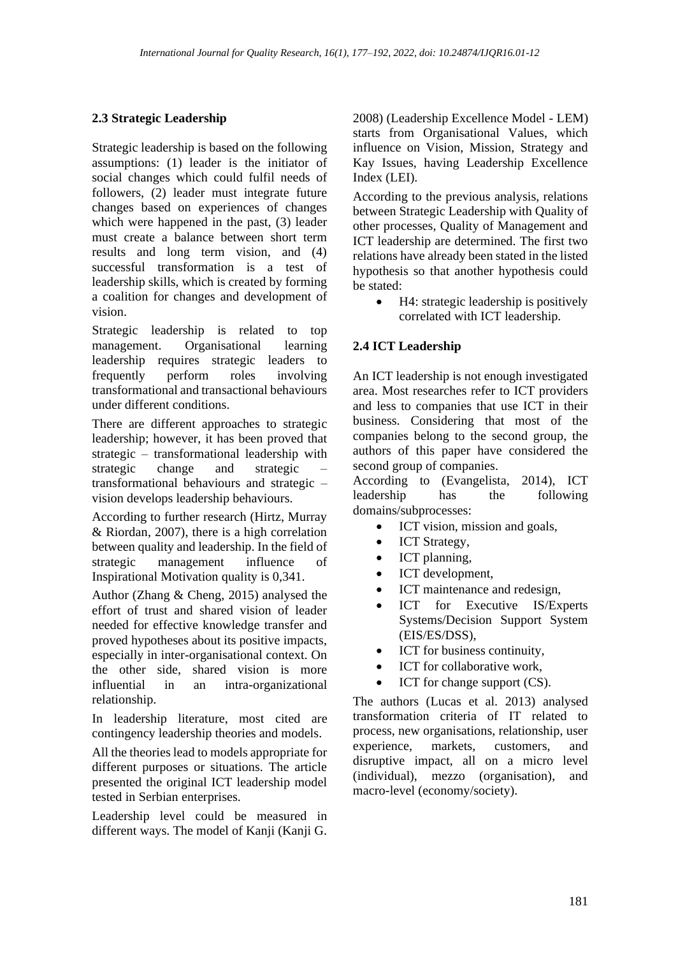### **2.3 Strategic Leadership**

Strategic leadership is based on the following assumptions: (1) leader is the initiator of social changes which could fulfil needs of followers, (2) leader must integrate future changes based on experiences of changes which were happened in the past,  $(3)$  leader must create a balance between short term results and long term vision, and (4) successful transformation is a test of leadership skills, which is created by forming a coalition for changes and development of vision.

Strategic leadership is related to top management. Organisational learning leadership requires strategic leaders to frequently perform roles involving transformational and transactional behaviours under different conditions.

There are different approaches to strategic leadership; however, it has been proved that strategic – transformational leadership with strategic change and strategic – transformational behaviours and strategic – vision develops leadership behaviours.

According to further research (Hirtz, Murray & Riordan, 2007), there is a high correlation between quality and leadership. In the field of strategic management influence of Inspirational Motivation quality is 0,341.

Author (Zhang & Cheng, 2015) analysed the effort of trust and shared vision of leader needed for effective knowledge transfer and proved hypotheses about its positive impacts, especially in inter-organisational context. On the other side, shared vision is more influential in an intra-organizational relationship.

In leadership literature, most cited are contingency leadership theories and models.

All the theories lead to models appropriate for different purposes or situations. The article presented the original ICT leadership model tested in Serbian enterprises.

Leadership level could be measured in different ways. The model of Kanji (Kanji G.

2008) (Leadership Excellence Model - LEM) starts from Organisational Values, which influence on Vision, Mission, Strategy and Kay Issues, having Leadership Excellence Index (LEI).

According to the previous analysis, relations between Strategic Leadership with Quality of other processes, Quality of Management and ICT leadership are determined. The first two relations have already been stated in the listed hypothesis so that another hypothesis could be stated:

• H4: strategic leadership is positively correlated with ICT leadership.

### **2.4 ICT Leadership**

An ICT leadership is not enough investigated area. Most researches refer to ICT providers and less to companies that use ICT in their business. Considering that most of the companies belong to the second group, the authors of this paper have considered the second group of companies.

According to (Evangelista, 2014), ICT leadership has the following domains/subprocesses:

- ICT vision, mission and goals,
- ICT Strategy,
- ICT planning,
- ICT development,
- ICT maintenance and redesign,
- ICT for Executive IS/Experts Systems/Decision Support System (EIS/ES/DSS),
- ICT for business continuity,
- ICT for collaborative work,
- ICT for change support (CS).

The authors (Lucas et al. 2013) analysed transformation criteria of IT related to process, new organisations, relationship, user experience, markets, customers, and disruptive impact, all on a micro level (individual), mezzo (organisation), and macro-level (economy/society).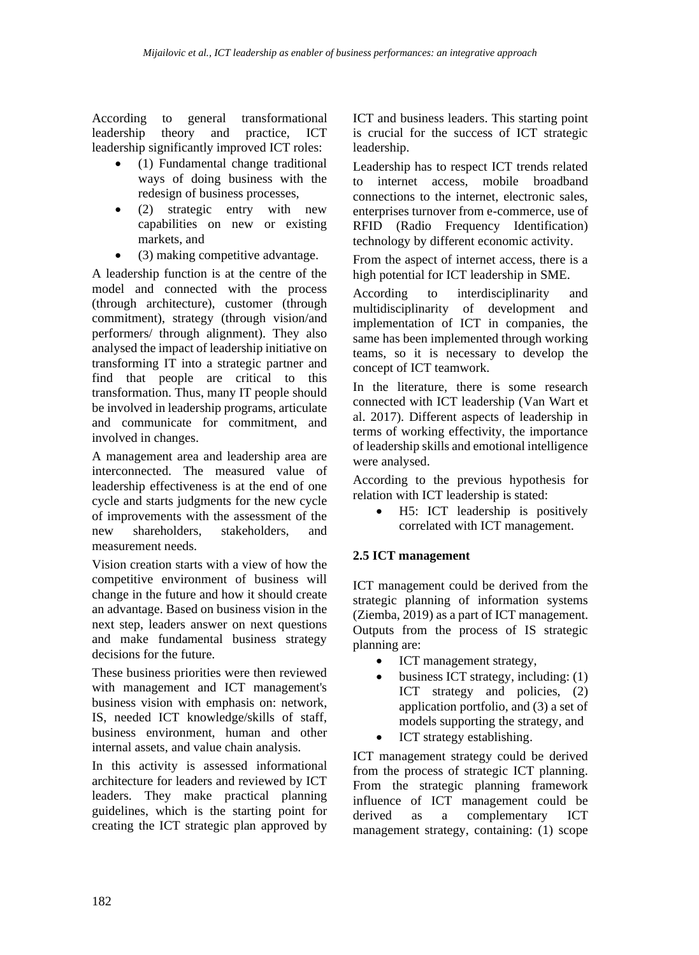According to general transformational leadership theory and practice, ICT leadership significantly improved ICT roles:

- (1) Fundamental change traditional ways of doing business with the redesign of business processes,
- (2) strategic entry with new capabilities on new or existing markets, and
- (3) making competitive advantage.

A leadership function is at the centre of the model and connected with the process (through architecture), customer (through commitment), strategy (through vision/and performers/ through alignment). They also analysed the impact of leadership initiative on transforming IT into a strategic partner and find that people are critical to this transformation. Thus, many IT people should be involved in leadership programs, articulate and communicate for commitment, and involved in changes.

A management area and leadership area are interconnected. The measured value of leadership effectiveness is at the end of one cycle and starts judgments for the new cycle of improvements with the assessment of the new shareholders, stakeholders, and measurement needs.

Vision creation starts with a view of how the competitive environment of business will change in the future and how it should create an advantage. Based on business vision in the next step, leaders answer on next questions and make fundamental business strategy decisions for the future.

These business priorities were then reviewed with management and ICT management's business vision with emphasis on: network, IS, needed ICT knowledge/skills of staff, business environment, human and other internal assets, and value chain analysis.

In this activity is assessed informational architecture for leaders and reviewed by ICT leaders. They make practical planning guidelines, which is the starting point for creating the ICT strategic plan approved by

ICT and business leaders. This starting point is crucial for the success of ICT strategic leadership.

Leadership has to respect ICT trends related to internet access, mobile broadband connections to the internet, electronic sales, enterprises turnover from e-commerce, use of RFID (Radio Frequency Identification) technology by different economic activity.

From the aspect of internet access, there is a high potential for ICT leadership in SME.

According to interdisciplinarity and multidisciplinarity of development and implementation of ICT in companies, the same has been implemented through working teams, so it is necessary to develop the concept of ICT teamwork.

In the literature, there is some research connected with ICT leadership (Van Wart et al. 2017). Different aspects of leadership in terms of working effectivity, the importance of leadership skills and emotional intelligence were analysed.

According to the previous hypothesis for relation with ICT leadership is stated:

• H5: ICT leadership is positively correlated with ICT management.

### **2.5 ICT management**

ICT management could be derived from the strategic planning of information systems (Ziemba, 2019) as a part of ICT management. Outputs from the process of IS strategic planning are:

- ICT management strategy,
- $\bullet$  business ICT strategy, including: (1) ICT strategy and policies, (2) application portfolio, and (3) a set of models supporting the strategy, and
- ICT strategy establishing.

ICT management strategy could be derived from the process of strategic ICT planning. From the strategic planning framework influence of ICT management could be derived as a complementary ICT management strategy, containing: (1) scope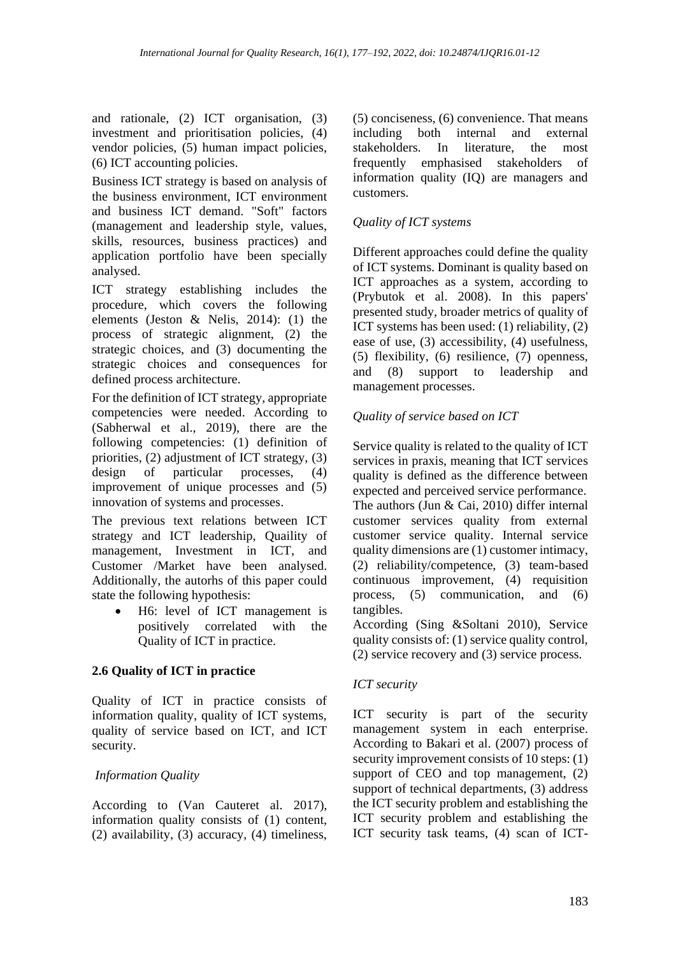and rationale, (2) ICT organisation, (3) investment and prioritisation policies, (4) vendor policies, (5) human impact policies, (6) ICT accounting policies.

Business ICT strategy is based on analysis of the business environment, ICT environment and business ICT demand. "Soft" factors (management and leadership style, values, skills, resources, business practices) and application portfolio have been specially analysed.

ICT strategy establishing includes the procedure, which covers the following elements (Jeston & Nelis, 2014): (1) the process of strategic alignment, (2) the strategic choices, and (3) documenting the strategic choices and consequences for defined process architecture.

For the definition of ICT strategy, appropriate competencies were needed. According to (Sabherwal et al., 2019), there are the following competencies: (1) definition of priorities, (2) adjustment of ICT strategy, (3) design of particular processes, (4) improvement of unique processes and (5) innovation of systems and processes.

The previous text relations between ICT strategy and ICT leadership, Quaility of management, Investment in ICT, and Customer /Market have been analysed. Additionally, the autorhs of this paper could state the following hypothesis:

• H6: level of ICT management is positively correlated with the Quality of ICT in practice.

### **2.6 Quality of ICT in practice**

Quality of ICT in practice consists of information quality, quality of ICT systems, quality of service based on ICT, and ICT security.

#### *Information Quality*

According to (Van Cauteret al. 2017), information quality consists of (1) content, (2) availability, (3) accuracy, (4) timeliness,

(5) conciseness, (6) convenience. That means including both internal and external<br>stakeholders. In literature, the most In literature, the most frequently emphasised stakeholders of information quality (IQ) are managers and customers.

### *Quality of ICT systems*

Different approaches could define the quality of ICT systems. Dominant is quality based on ICT approaches as a system, according to (Prybutok et al. 2008). In this papers' presented study, broader metrics of quality of ICT systems has been used: (1) reliability, (2) ease of use, (3) accessibility, (4) usefulness, (5) flexibility, (6) resilience, (7) openness, and (8) support to leadership and management processes.

### *Quality of service based on ICT*

Service quality is related to the quality of ICT services in praxis, meaning that ICT services quality is defined as the difference between expected and perceived service performance. The authors (Jun & Cai, 2010) differ internal customer services quality from external customer service quality. Internal service quality dimensions are (1) customer intimacy, (2) reliability/competence, (3) team-based continuous improvement, (4) requisition process, (5) communication, and (6) tangibles.

According (Sing &Soltani 2010), Service quality consists of: (1) service quality control, (2) service recovery and (3) service process.

#### *ICT security*

ICT security is part of the security management system in each enterprise. According to Bakari et al. (2007) process of security improvement consists of 10 steps: (1) support of CEO and top management,  $(2)$ support of technical departments, (3) address the ICT security problem and establishing the ICT security problem and establishing the ICT security task teams, (4) scan of ICT-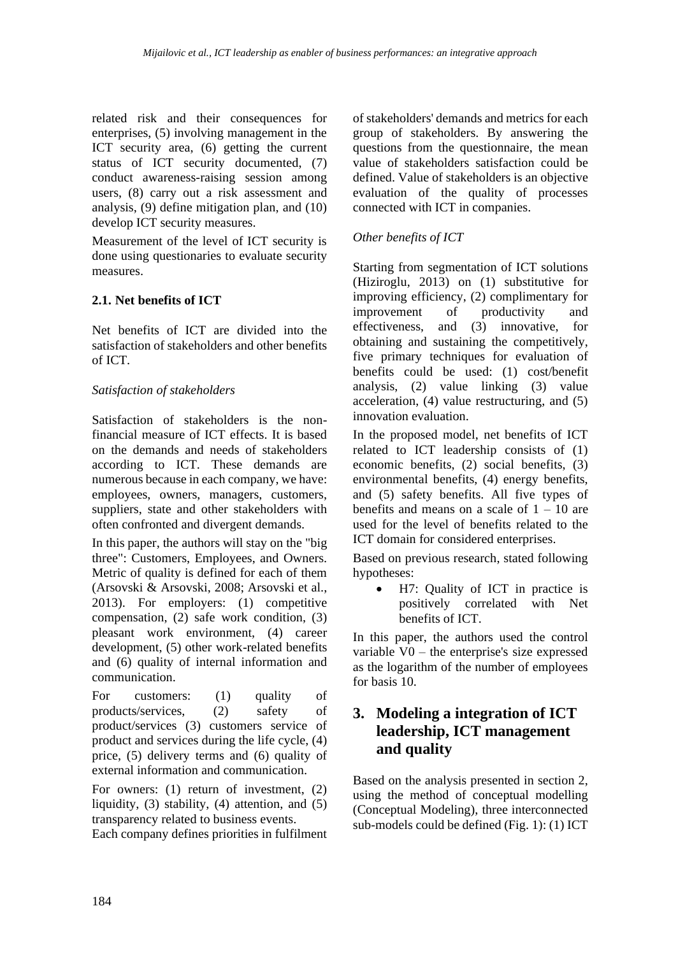related risk and their consequences for enterprises, (5) involving management in the ICT security area, (6) getting the current status of ICT security documented, (7) conduct awareness-raising session among users, (8) carry out a risk assessment and analysis, (9) define mitigation plan, and (10) develop ICT security measures.

Measurement of the level of ICT security is done using questionaries to evaluate security measures.

### **2.1. Net benefits of ICT**

Net benefits of ICT are divided into the satisfaction of stakeholders and other benefits of ICT.

### *Satisfaction of stakeholders*

Satisfaction of stakeholders is the nonfinancial measure of ICT effects. It is based on the demands and needs of stakeholders according to ICT. These demands are numerous because in each company, we have: employees, owners, managers, customers, suppliers, state and other stakeholders with often confronted and divergent demands.

In this paper, the authors will stay on the "big three": Customers, Employees, and Owners. Metric of quality is defined for each of them (Arsovski & Arsovski, 2008; Arsovski et al., 2013). For employers: (1) competitive compensation, (2) safe work condition, (3) pleasant work environment, (4) career development, (5) other work-related benefits and (6) quality of internal information and communication.

For customers: (1) quality of products/services, (2) safety of product/services (3) customers service of product and services during the life cycle, (4) price, (5) delivery terms and (6) quality of external information and communication.

For owners: (1) return of investment, (2) liquidity, (3) stability, (4) attention, and (5) transparency related to business events.

Each company defines priorities in fulfilment

of stakeholders' demands and metrics for each group of stakeholders. By answering the questions from the questionnaire, the mean value of stakeholders satisfaction could be defined. Value of stakeholders is an objective evaluation of the quality of processes connected with ICT in companies.

### *Other benefits of ICT*

Starting from segmentation of ICT solutions (Hiziroglu, 2013) on (1) substitutive for improving efficiency, (2) complimentary for<br>improvement of productivity and improvement of productivity and effectiveness, and (3) innovative, for obtaining and sustaining the competitively, five primary techniques for evaluation of benefits could be used: (1) cost/benefit analysis, (2) value linking (3) value acceleration, (4) value restructuring, and (5) innovation evaluation.

In the proposed model, net benefits of ICT related to ICT leadership consists of (1) economic benefits, (2) social benefits, (3) environmental benefits, (4) energy benefits, and (5) safety benefits. All five types of benefits and means on a scale of  $1 - 10$  are used for the level of benefits related to the ICT domain for considered enterprises.

Based on previous research, stated following hypotheses:

• H7: Quality of ICT in practice is positively correlated with Net benefits of ICT.

In this paper, the authors used the control variable V0 – the enterprise's size expressed as the logarithm of the number of employees for basis 10.

# **3. Modeling a integration of ICT leadership, ICT management and quality**

Based on the analysis presented in section 2, using the method of conceptual modelling (Conceptual Modeling), three interconnected sub-models could be defined (Fig. 1): (1) ICT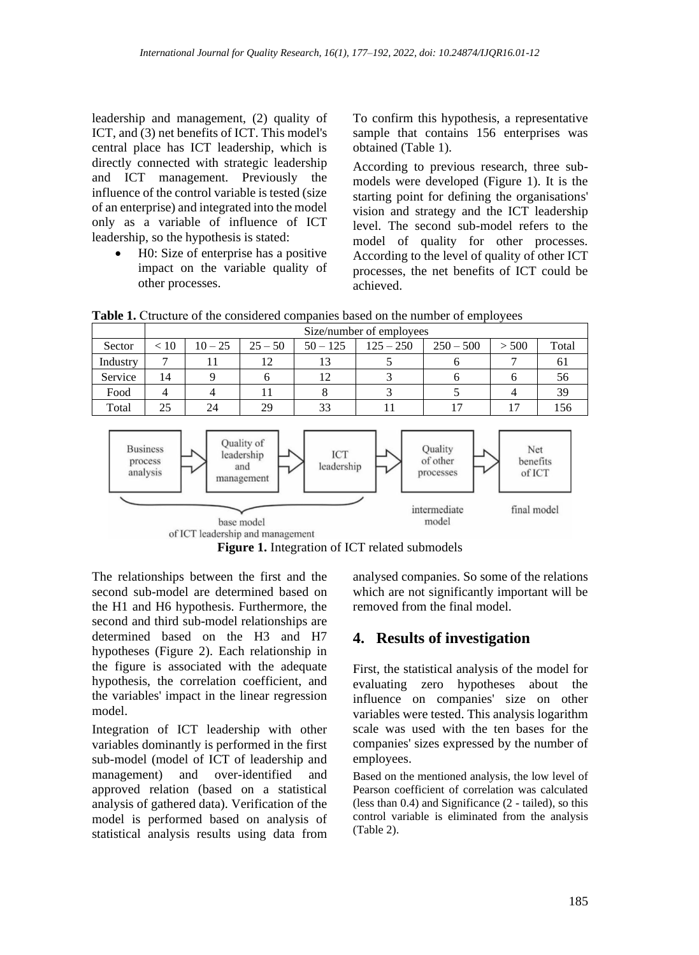leadership and management, (2) quality of ICT, and (3) net benefits of ICT. This model's central place has ICT leadership, which is directly connected with strategic leadership and ICT management. Previously the influence of the control variable is tested (size of an enterprise) and integrated into the model only as a variable of influence of ICT leadership, so the hypothesis is stated:

> • H0: Size of enterprise has a positive impact on the variable quality of other processes.

To confirm this hypothesis, a representative sample that contains 156 enterprises was obtained (Table 1).

According to previous research, three submodels were developed (Figure 1). It is the starting point for defining the organisations' vision and strategy and the ICT leadership level. The second sub-model refers to the model of quality for other processes. According to the level of quality of other ICT processes, the net benefits of ICT could be achieved.

Table 1. Ctructure of the considered companies based on the number of employees

|          | Size/number of employees |           |           |            |             |             |       |       |  |  |  |
|----------|--------------------------|-----------|-----------|------------|-------------|-------------|-------|-------|--|--|--|
| Sector   | < 10                     | $10 - 25$ | $25 - 50$ | $50 - 125$ | $125 - 250$ | $250 - 500$ | > 500 | Total |  |  |  |
| Industry |                          |           | 12        |            |             |             |       |       |  |  |  |
| Service  | 14                       |           |           |            |             |             |       | 56    |  |  |  |
| Food     |                          |           |           |            |             |             |       | 39    |  |  |  |
| Total    |                          | 24        | 29        | 33         |             |             |       | 156   |  |  |  |





The relationships between the first and the second sub-model are determined based on the H1 and H6 hypothesis. Furthermore, the second and third sub-model relationships are determined based on the H3 and H7 hypotheses (Figure 2). Each relationship in the figure is associated with the adequate hypothesis, the correlation coefficient, and the variables' impact in the linear regression model.

Integration of ICT leadership with other variables dominantly is performed in the first sub-model (model of ICT of leadership and management) and over-identified and approved relation (based on a statistical analysis of gathered data). Verification of the model is performed based on analysis of statistical analysis results using data from

analysed companies. So some of the relations which are not significantly important will be removed from the final model.

# **4. Results of investigation**

First, the statistical analysis of the model for evaluating zero hypotheses about the influence on companies' size on other variables were tested. This analysis logarithm scale was used with the ten bases for the companies' sizes expressed by the number of employees.

Based on the mentioned analysis, the low level of Pearson coefficient of correlation was calculated (less than 0.4) and Significance (2 - tailed), so this control variable is eliminated from the analysis (Table 2).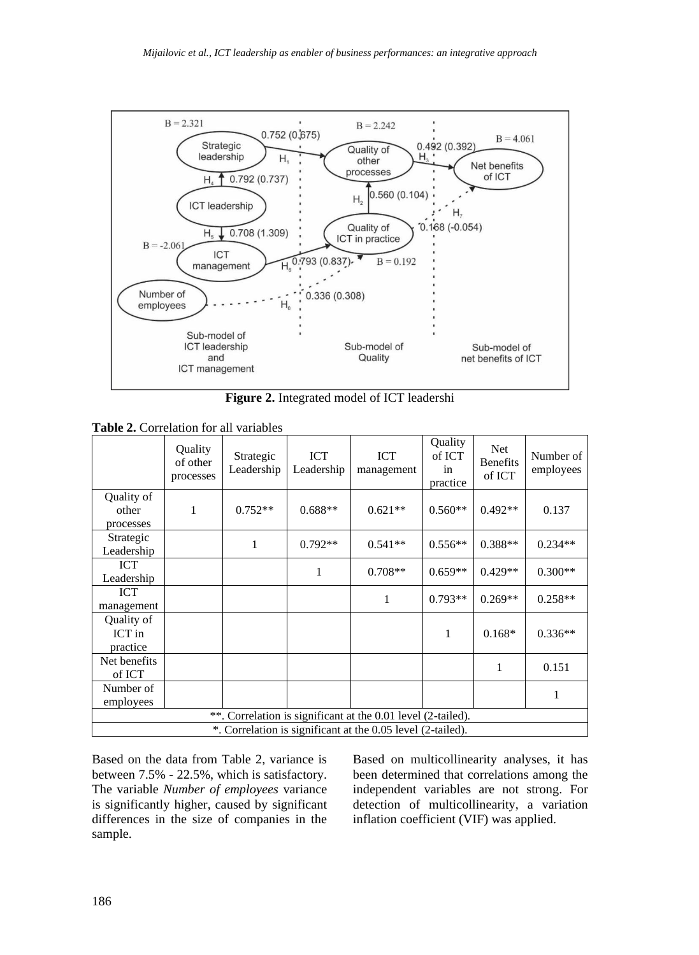

**Figure 2.** Integrated model of ICT leadershi

**Table 2.** Correlation for all variables

|                                                              | Quality<br>of other<br>processes | Strategic<br>Leadership | ICT<br>Leadership | ICT<br>management | Quality<br>of ICT<br>in<br>practice | Net<br><b>Benefits</b><br>of ICT | Number of<br>employees |  |  |  |
|--------------------------------------------------------------|----------------------------------|-------------------------|-------------------|-------------------|-------------------------------------|----------------------------------|------------------------|--|--|--|
| Quality of<br>other<br>processes                             | 1                                | $0.752**$               | $0.688**$         | $0.621**$         | $0.560**$                           | $0.492**$                        | 0.137                  |  |  |  |
| Strategic<br>Leadership                                      |                                  | 1                       | $0.792**$         | $0.541**$         | $0.556**$                           | $0.388**$                        | $0.234**$              |  |  |  |
| <b>ICT</b><br>Leadership                                     |                                  |                         | 1                 | $0.708**$         | $0.659**$                           | $0.429**$                        | $0.300**$              |  |  |  |
| ICT<br>management                                            |                                  |                         |                   | 1                 | $0.793**$                           | $0.269**$                        | $0.258**$              |  |  |  |
| Quality of<br>ICT in<br>practice                             |                                  |                         |                   |                   | 1                                   | $0.168*$                         | $0.336**$              |  |  |  |
| Net benefits<br>of ICT                                       |                                  |                         |                   |                   |                                     | 1                                | 0.151                  |  |  |  |
| Number of<br>employees                                       |                                  |                         |                   |                   |                                     |                                  | 1                      |  |  |  |
| **. Correlation is significant at the 0.01 level (2-tailed). |                                  |                         |                   |                   |                                     |                                  |                        |  |  |  |
| *. Correlation is significant at the 0.05 level (2-tailed).  |                                  |                         |                   |                   |                                     |                                  |                        |  |  |  |

Based on the data from Table 2, variance is between 7.5% - 22.5%, which is satisfactory. The variable *Number of employees* variance is significantly higher, caused by significant differences in the size of companies in the sample.

Based on multicollinearity analyses, it has been determined that correlations among the independent variables are not strong. For detection of multicollinearity, a variation inflation coefficient (VIF) was applied.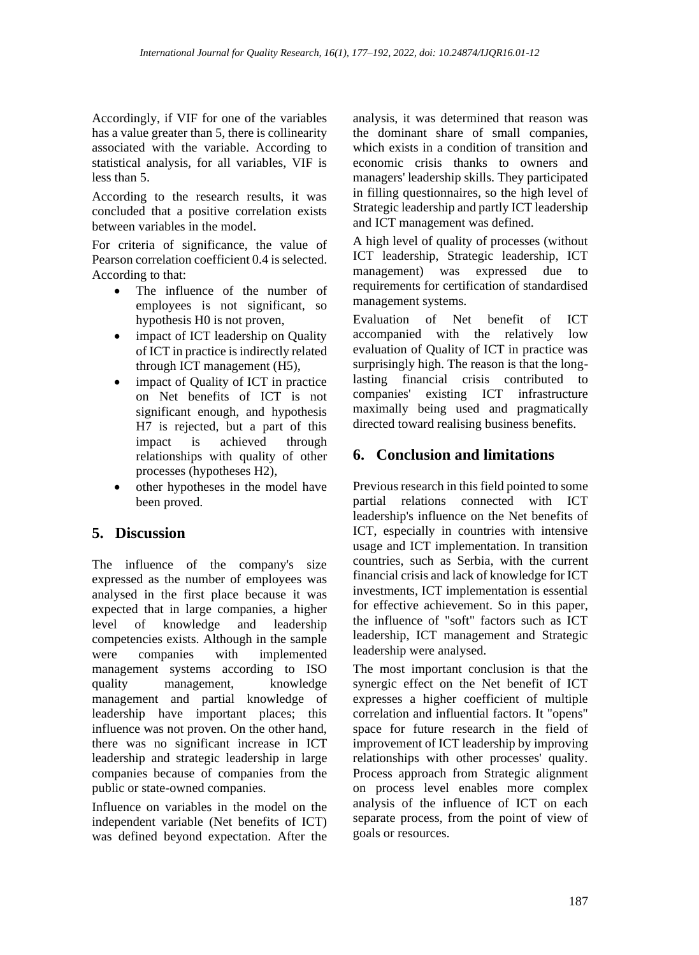Accordingly, if VIF for one of the variables has a value greater than 5, there is collinearity associated with the variable. According to statistical analysis, for all variables, VIF is less than 5.

According to the research results, it was concluded that a positive correlation exists between variables in the model.

For criteria of significance, the value of Pearson correlation coefficient 0.4 is selected. According to that:

- The influence of the number of employees is not significant, so hypothesis H0 is not proven,
- impact of ICT leadership on Quality of ICT in practice is indirectly related through ICT management (H5),
- impact of Quality of ICT in practice on Net benefits of ICT is not significant enough, and hypothesis H7 is rejected, but a part of this impact is achieved through relationships with quality of other processes (hypotheses H2),
- other hypotheses in the model have been proved.

# **5. Discussion**

The influence of the company's size expressed as the number of employees was analysed in the first place because it was expected that in large companies, a higher level of knowledge and leadership competencies exists. Although in the sample were companies with implemented management systems according to ISO quality management, knowledge management and partial knowledge of leadership have important places; this influence was not proven. On the other hand, there was no significant increase in ICT leadership and strategic leadership in large companies because of companies from the public or state-owned companies.

Influence on variables in the model on the independent variable (Net benefits of ICT) was defined beyond expectation. After the

analysis, it was determined that reason was the dominant share of small companies, which exists in a condition of transition and economic crisis thanks to owners and managers' leadership skills. They participated in filling questionnaires, so the high level of Strategic leadership and partly ICT leadership and ICT management was defined.

A high level of quality of processes (without ICT leadership, Strategic leadership, ICT management) was expressed due to requirements for certification of standardised management systems.

Evaluation of Net benefit of ICT accompanied with the relatively low evaluation of Quality of ICT in practice was surprisingly high. The reason is that the longlasting financial crisis contributed to companies' existing ICT infrastructure maximally being used and pragmatically directed toward realising business benefits.

# **6. Conclusion and limitations**

Previous research in this field pointed to some partial relations connected with ICT leadership's influence on the Net benefits of ICT, especially in countries with intensive usage and ICT implementation. In transition countries, such as Serbia, with the current financial crisis and lack of knowledge for ICT investments, ICT implementation is essential for effective achievement. So in this paper, the influence of "soft" factors such as ICT leadership, ICT management and Strategic leadership were analysed.

The most important conclusion is that the synergic effect on the Net benefit of ICT expresses a higher coefficient of multiple correlation and influential factors. It "opens" space for future research in the field of improvement of ICT leadership by improving relationships with other processes' quality. Process approach from Strategic alignment on process level enables more complex analysis of the influence of ICT on each separate process, from the point of view of goals or resources.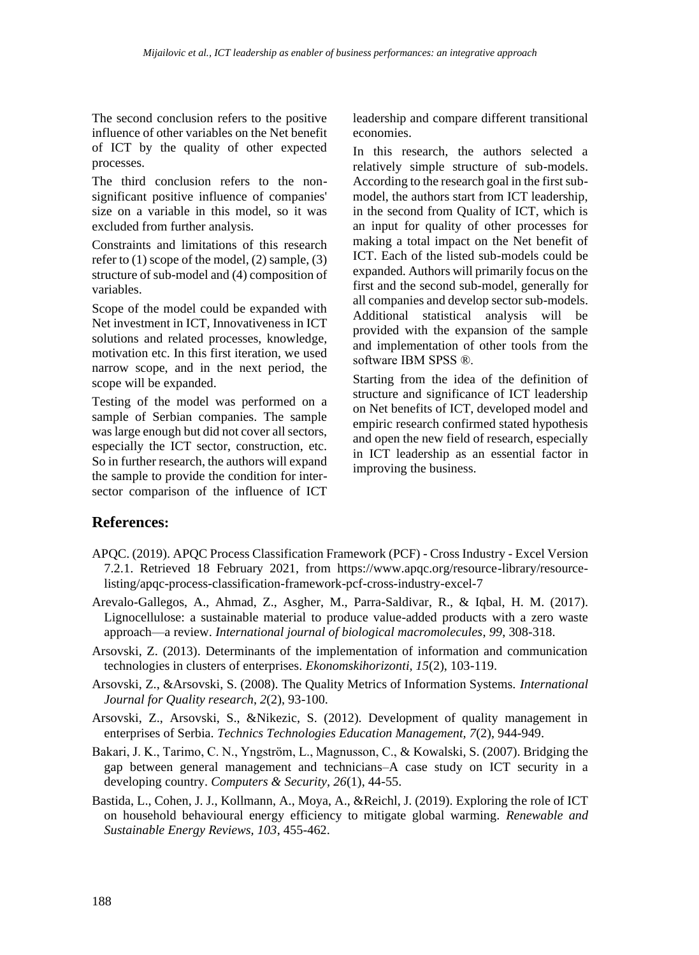The second conclusion refers to the positive influence of other variables on the Net benefit of ICT by the quality of other expected processes.

The third conclusion refers to the nonsignificant positive influence of companies' size on a variable in this model, so it was excluded from further analysis.

Constraints and limitations of this research refer to (1) scope of the model, (2) sample, (3) structure of sub-model and (4) composition of variables.

Scope of the model could be expanded with Net investment in ICT, Innovativeness in ICT solutions and related processes, knowledge, motivation etc. In this first iteration, we used narrow scope, and in the next period, the scope will be expanded.

Testing of the model was performed on a sample of Serbian companies. The sample was large enough but did not cover all sectors, especially the ICT sector, construction, etc. So in further research, the authors will expand the sample to provide the condition for intersector comparison of the influence of ICT leadership and compare different transitional economies.

In this research, the authors selected a relatively simple structure of sub-models. According to the research goal in the first submodel, the authors start from ICT leadership, in the second from Quality of ICT, which is an input for quality of other processes for making a total impact on the Net benefit of ICT. Each of the listed sub-models could be expanded. Authors will primarily focus on the first and the second sub-model, generally for all companies and develop sector sub-models. Additional statistical analysis will be provided with the expansion of the sample and implementation of other tools from the software IBM SPSS ®.

Starting from the idea of the definition of structure and significance of ICT leadership on Net benefits of ICT, developed model and empiric research confirmed stated hypothesis and open the new field of research, especially in ICT leadership as an essential factor in improving the business.

#### **References:**

- APQC. (2019). APQC Process Classification Framework (PCF) Cross Industry Excel Version 7.2.1. Retrieved 18 February 2021, from https://www.apqc.org/resource-library/resourcelisting/apqc-process-classification-framework-pcf-cross-industry-excel-7
- Arevalo-Gallegos, A., Ahmad, Z., Asgher, M., Parra-Saldivar, R., & Iqbal, H. M. (2017). Lignocellulose: a sustainable material to produce value-added products with a zero waste approach—a review. *International journal of biological macromolecules*, *99*, 308-318.
- Arsovski, Z. (2013). Determinants of the implementation of information and communication technologies in clusters of enterprises. *Ekonomskihorizonti, 15*(2), 103-119.
- Arsovski, Z., &Arsovski, S. (2008). The Quality Metrics of Information Systems. *International Journal for Quality research*, *2*(2), 93-100.
- Arsovski, Z., Arsovski, S., &Nikezic, S. (2012). Development of quality management in enterprises of Serbia. *Technics Technologies Education Management, 7*(2), 944-949.
- Bakari, J. K., Tarimo, C. N., Yngström, L., Magnusson, C., & Kowalski, S. (2007). Bridging the gap between general management and technicians–A case study on ICT security in a developing country. *Computers & Security, 26*(1), 44-55.
- Bastida, L., Cohen, J. J., Kollmann, A., Moya, A., &Reichl, J. (2019). Exploring the role of ICT on household behavioural energy efficiency to mitigate global warming. *Renewable and Sustainable Energy Reviews, 103*, 455-462.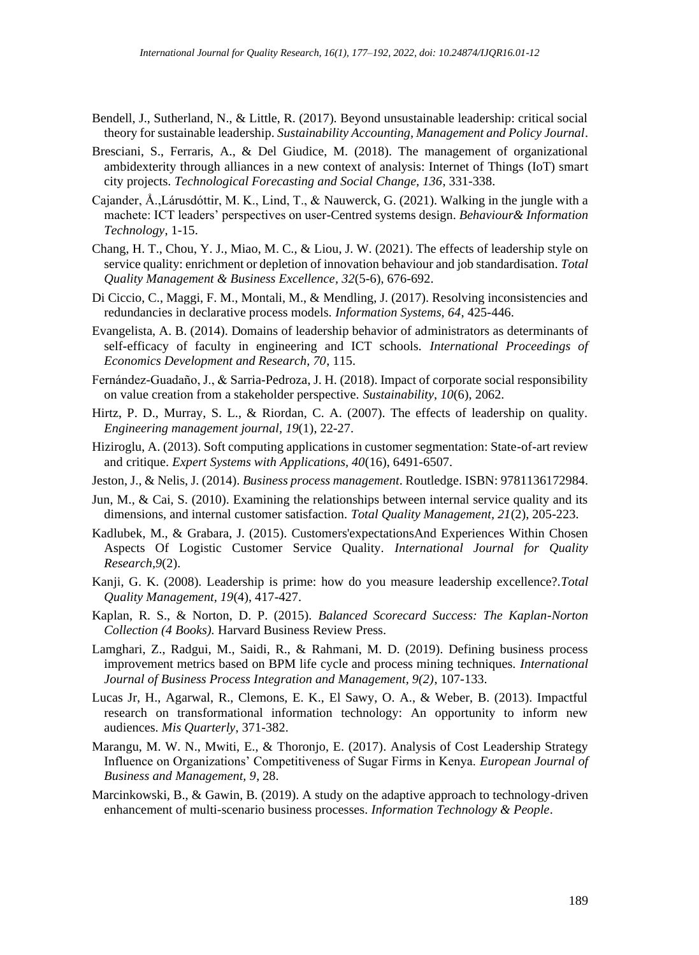- Bendell, J., Sutherland, N., & Little, R. (2017). Beyond unsustainable leadership: critical social theory for sustainable leadership. *Sustainability Accounting, Management and Policy Journal*.
- Bresciani, S., Ferraris, A., & Del Giudice, M. (2018). The management of organizational ambidexterity through alliances in a new context of analysis: Internet of Things (IoT) smart city projects. *Technological Forecasting and Social Change, 136*, 331-338.
- Cajander, Å.,Lárusdóttir, M. K., Lind, T., & Nauwerck, G. (2021). Walking in the jungle with a machete: ICT leaders' perspectives on user-Centred systems design. *Behaviour& Information Technology*, 1-15.
- Chang, H. T., Chou, Y. J., Miao, M. C., & Liou, J. W. (2021). The effects of leadership style on service quality: enrichment or depletion of innovation behaviour and job standardisation. *Total Quality Management & Business Excellence, 32*(5-6), 676-692.
- Di Ciccio, C., Maggi, F. M., Montali, M., & Mendling, J. (2017). Resolving inconsistencies and redundancies in declarative process models. *Information Systems, 64*, 425-446.
- Evangelista, A. B. (2014). Domains of leadership behavior of administrators as determinants of self-efficacy of faculty in engineering and ICT schools. *International Proceedings of Economics Development and Research, 70*, 115.
- Fernández-Guadaño, J., & Sarria-Pedroza, J. H. (2018). Impact of corporate social responsibility on value creation from a stakeholder perspective. *Sustainability*, *10*(6), 2062.
- Hirtz, P. D., Murray, S. L., & Riordan, C. A. (2007). The effects of leadership on quality. *Engineering management journal, 19*(1), 22-27.
- Hiziroglu, A. (2013). Soft computing applications in customer segmentation: State-of-art review and critique. *Expert Systems with Applications, 40*(16), 6491-6507.
- Jeston, J., & Nelis, J. (2014). *Business process management*. Routledge. ISBN: 9781136172984.
- Jun, M., & Cai, S. (2010). Examining the relationships between internal service quality and its dimensions, and internal customer satisfaction. *Total Quality Management, 21*(2), 205-223.
- Kadlubek, M., & Grabara, J. (2015). Customers'expectationsAnd Experiences Within Chosen Aspects Of Logistic Customer Service Quality. *International Journal for Quality Research,9*(2).
- Kanji, G. K. (2008). Leadership is prime: how do you measure leadership excellence?.*Total Quality Management, 19*(4), 417-427.
- Kaplan, R. S., & Norton, D. P. (2015). *Balanced Scorecard Success: The Kaplan-Norton Collection (4 Books).* Harvard Business Review Press.
- Lamghari, Z., Radgui, M., Saidi, R., & Rahmani, M. D. (2019). Defining business process improvement metrics based on BPM life cycle and process mining techniques. *International Journal of Business Process Integration and Management, 9(2)*, 107-133.
- Lucas Jr, H., Agarwal, R., Clemons, E. K., El Sawy, O. A., & Weber, B. (2013). Impactful research on transformational information technology: An opportunity to inform new audiences. *Mis Quarterly*, 371-382.
- Marangu, M. W. N., Mwiti, E., & Thoronjo, E. (2017). Analysis of Cost Leadership Strategy Influence on Organizations' Competitiveness of Sugar Firms in Kenya. *European Journal of Business and Management, 9*, 28.
- Marcinkowski, B., & Gawin, B. (2019). A study on the adaptive approach to technology-driven enhancement of multi-scenario business processes. *Information Technology & People*.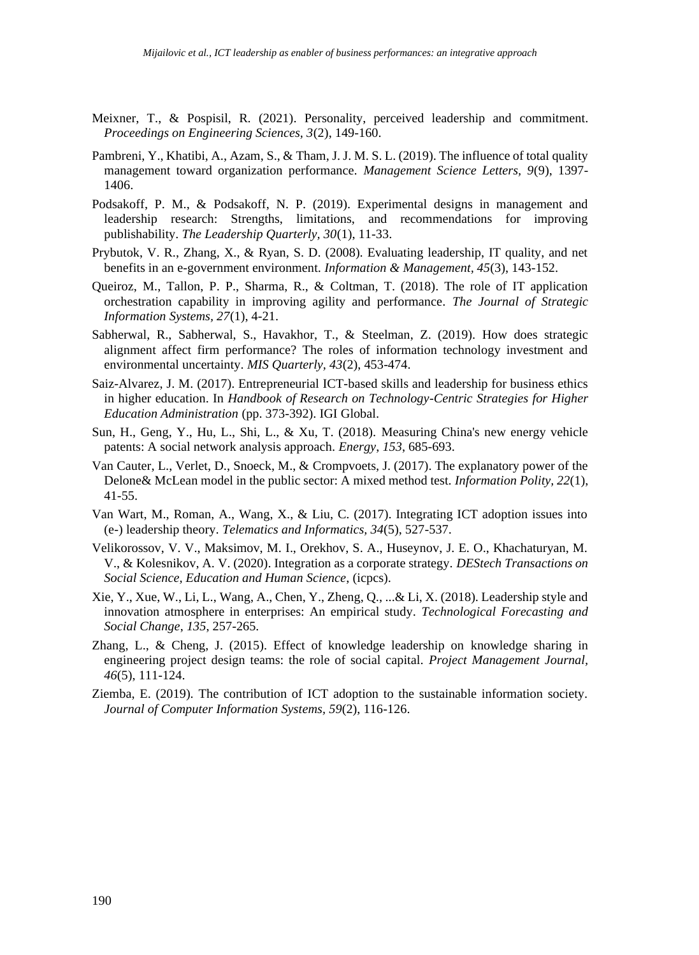- Meixner, T., & Pospisil, R. (2021). Personality, perceived leadership and commitment. *Proceedings on Engineering Sciences, 3*(2), 149-160.
- Pambreni, Y., Khatibi, A., Azam, S., & Tham, J. J. M. S. L. (2019). The influence of total quality management toward organization performance. *Management Science Letters, 9*(9), 1397- 1406.
- Podsakoff, P. M., & Podsakoff, N. P. (2019). Experimental designs in management and leadership research: Strengths, limitations, and recommendations for improving publishability. *The Leadership Quarterly, 30*(1), 11-33.
- Prybutok, V. R., Zhang, X., & Ryan, S. D. (2008). Evaluating leadership, IT quality, and net benefits in an e-government environment. *Information & Management, 45*(3), 143-152.
- Queiroz, M., Tallon, P. P., Sharma, R., & Coltman, T. (2018). The role of IT application orchestration capability in improving agility and performance. *The Journal of Strategic Information Systems, 27*(1), 4-21.
- Sabherwal, R., Sabherwal, S., Havakhor, T., & Steelman, Z. (2019). How does strategic alignment affect firm performance? The roles of information technology investment and environmental uncertainty. *MIS Quarterly, 43*(2), 453-474.
- Saiz-Alvarez, J. M. (2017). Entrepreneurial ICT-based skills and leadership for business ethics in higher education. In *Handbook of Research on Technology-Centric Strategies for Higher Education Administration* (pp. 373-392). IGI Global.
- Sun, H., Geng, Y., Hu, L., Shi, L., & Xu, T. (2018). Measuring China's new energy vehicle patents: A social network analysis approach. *Energy*, *153*, 685-693.
- Van Cauter, L., Verlet, D., Snoeck, M., & Crompvoets, J. (2017). The explanatory power of the Delone& McLean model in the public sector: A mixed method test. *Information Polity, 22*(1), 41-55.
- Van Wart, M., Roman, A., Wang, X., & Liu, C. (2017). Integrating ICT adoption issues into (e-) leadership theory. *Telematics and Informatics, 34*(5), 527-537.
- Velikorossov, V. V., Maksimov, M. I., Orekhov, S. A., Huseynov, J. E. O., Khachaturyan, M. V., & Kolesnikov, A. V. (2020). Integration as a corporate strategy. *DEStech Transactions on Social Science, Education and Human Science*, (icpcs).
- Xie, Y., Xue, W., Li, L., Wang, A., Chen, Y., Zheng, Q., ...& Li, X. (2018). Leadership style and innovation atmosphere in enterprises: An empirical study. *Technological Forecasting and Social Change*, *135*, 257-265.
- Zhang, L., & Cheng, J. (2015). Effect of knowledge leadership on knowledge sharing in engineering project design teams: the role of social capital. *Project Management Journal, 46*(5), 111-124.
- Ziemba, E. (2019). The contribution of ICT adoption to the sustainable information society. *Journal of Computer Information Systems, 59*(2), 116-126.